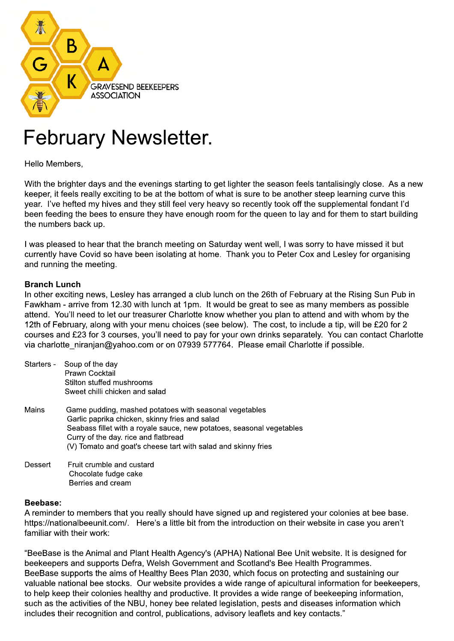

## February Newsletter.

Hello Members,

With the brighter days and the evenings starting to get lighter the season feels tantalisingly close. As a new keeper, it feels really exciting to be at the bottom of what is sure to be another steep learning curve this year. I've hefted my hives and they still feel very heavy so recently took off the supplemental fondant I'd been feeding the bees to ensure they have enough room for the queen to lay and for them to start building the numbers back up.

I was pleased to hear that the branch meeting on Saturday went well, I was sorry to have missed it but currently have Covid so have been isolating at home. Thank you to Peter Cox and Lesley for organising and running the meeting.

## **Branch Lunch**

In other exciting news, Lesley has arranged a club lunch on the 26th of February at the Rising Sun Pub in Fawkham - arrive from 12.30 with lunch at 1pm. It would be great to see as many members as possible attend. You'll need to let our treasurer Charlotte know whether you plan to attend and with whom by the 12th of February, along with your menu choices (see below). The cost, to include a tip, will be £20 for 2 courses and £23 for 3 courses, you'll need to pay for your own drinks separately. You can contact Charlotte via charlotte niranjan@yahoo.com or on 07939 577764. Please email Charlotte if possible.

|         | Starters - Soup of the day<br>Prawn Cocktail<br>Stilton stuffed mushrooms<br>Sweet chilli chicken and salad                                                                                                                                                                                |
|---------|--------------------------------------------------------------------------------------------------------------------------------------------------------------------------------------------------------------------------------------------------------------------------------------------|
| Mains   | Game pudding, mashed potatoes with seasonal vegetables<br>Garlic paprika chicken, skinny fries and salad<br>Seabass fillet with a royale sauce, new potatoes, seasonal vegetables<br>Curry of the day. rice and flatbread<br>(V) Tomato and goat's cheese tart with salad and skinny fries |
| Dessert | Fruit crumble and custard                                                                                                                                                                                                                                                                  |

 Chocolate fudge cake Berries and cream

## **Beebase:**

A reminder to members that you really should have signed up and registered your colonies at bee base. https://nationalbeeunit.com/. Here's a little bit from the introduction on their website in case you aren't familiar with their work:

"BeeBase is the Animal and Plant Health Agency's (APHA) National Bee Unit website. It is designed for beekeepers and supports Defra, Welsh Government and Scotland's Bee Health Programmes. BeeBase supports the aims of Healthy Bees Plan 2030, which focus on protecting and sustaining our valuable national bee stocks. Our website provides a wide range of apicultural information for beekeepers, to help keep their colonies healthy and productive. It provides a wide range of beekeeping information, such as the activities of the NBU, honey bee related legislation, pests and diseases information which includes their recognition and control, publications, advisory leaflets and key contacts."